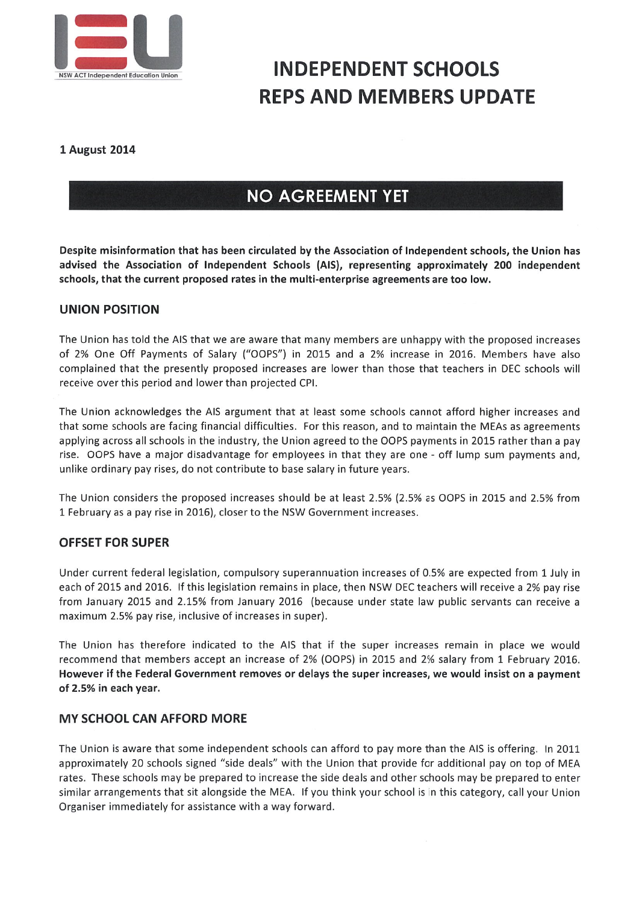

### **INDEPENDENT SCHOOLS** REPSAND MEMBERS UPDATE

#### 1 August 2014

#### NO AGREEMENT YET

Despite misinformation that has been circulated by the Association of Independent schools, the Union has advised the Association of Independent Schools (AIS), representing approximately 200 independent schools, that the current proposed rates in the multi-enterprise agreements are too low.

#### UNION POSITION

The Union hastold the AIS that we are aware that many members are unhappy with the proposed increases of 2% One Off Payments of Salary ("Oops") in 2015 and a 2% increase in 2016. Members have also complained that the presently proposed increases are lower than those that teachers in DEC schools will receive over this period and lower than projected CPI.

The Union acknowledges the AIS argument that at least some schools cannot afford higher increases and that some schools are facing financial difficulties. For this reason, and to maintain the MEAs as agreements applying across all schools in the industry, the Union agreed to the OOPS payments in 2015 rather than a pay rise. Oops have a major disadvantage for employees in that they are one - off lump sum payments and, unlike ordinary pay rises, do not contribute to base salary in future years.

The Union considers the proposed increases should be at least 2.5% (2.5% as Oops in 2015 and 2.5% from I February as a pay rise in 2016), closer to the NSW Government increases,

#### **OFFSET FOR SUPER**

Under current federal legislation, compulsory superannuation increases of 0.5% are expected from I July in each of 2015 and 2016. If this legislation remains in place, then NSW DEC teachers will receive a 2% pay rise from January 2015 and 2.15% from January 2016 (because under state law public servants can receive a maximum 2.5% pay rise, inclusive of increases in super).

The Union has therefore indicated to the AIS that if the super increases remain in place we would recommend that members accept an increase of 2% (OOPS) in 2015 and 2% salary from 1 February 2016. However ifthe Federal Government removes or delays the super increases, we would insist on a payment of 2.5% in each year.

#### **MY SCHOOL CAN AFFORD MORE**

The Union is aware that some independent schools can afford to pay more than the AIS is offering. In 2011 approximately 20 schools signed "side deals" with the Union that provide for additional pay on top of MEA rates. These schools may be prepared to increase the side deals and other schools may be prepared to enter similar arrangements that sit alongside the MEA. If you think your schoolis in this category, call your Union Organiser immediately for assistance with a way forward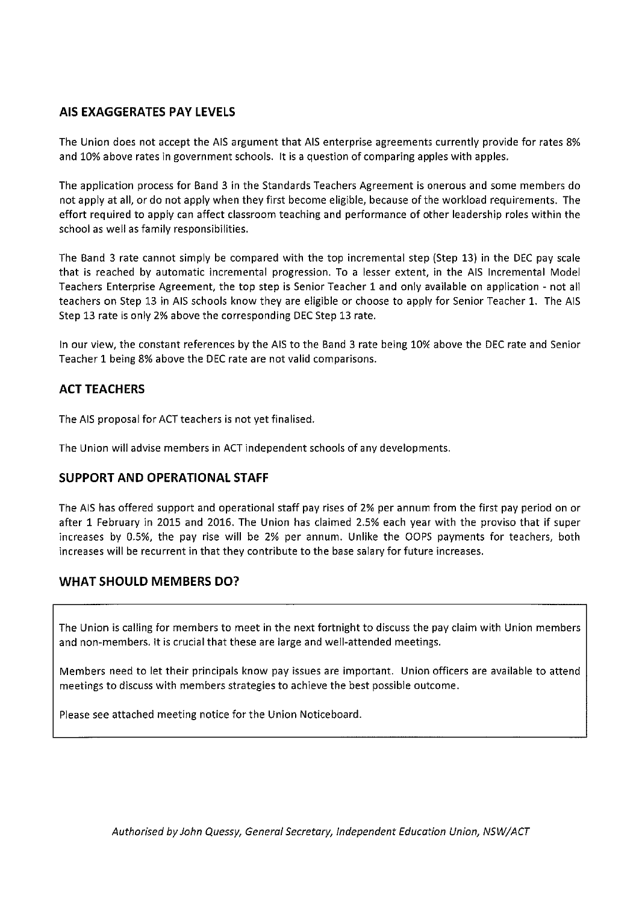#### AIS EXAGGERATES PAY LEVELS

The Union does not accept the AIS argument that AIS enterprise agreements currently provide for rates 8% and 10% above rates in government schools. It is a question of comparing apples with apples.

The application process for Band 3 in the Standards Teachers Agreement is onerous and some members do not apply at all, or do not apply when they first become eligible, because of the workload requirements. The effort required to apply can affect classroom teaching and performance of other leadership roles within the school as well as family responsibilities.

The Band 3 rate cannot simply be compared with the top incremental step (Step 13) in the DEC pay scale that is reached by automatic incremental progression. To a lesser extent, in the AIS Incremental Model Teachers Enterprise Agreement, the top step is Senior Teacher 1 and only available on application - not all teachers on Step 13 in AIS schools know they are eligible or choose to apply for Senior Teacher I. The AIS Step 13 rate is only 2% above the corresponding DEC Step 13 rate.

In our view, the constant references by the AIS to the Band 3 rate being 10% above the DEC rate and Senior Teacher I being 8% above the DEC rate are not valid comparisons,

#### **ACT TEACHERS**

The AIS proposal for ACT teachers is not yet finalised,

The Union will advise members in ACT independent schools of any developments.

#### SUPPORT AND OPERATIONAL STAFF

The AIS has offered support and operational staff pay rises of 2% per annum from the first pay period on or after 1 February in 2015 and 2016. The Union has claimed 2.5% each year with the proviso that if super increases by 0.5%, the pay rise will be 2% per annum. Unlike the Oops payments for teachers, both increases will be recurrent in that they contribute to the base salary for future increases.

#### WHAT SHOULD MEMBERS DO?

The Union is calling for members to meet in the next fortnight to discuss the pay claim with Union members and non-members. It is crucial that these are large and well-attended meetings.

Members need to let their principals know pay issues are important. Union officers are available to attend meetings to discuss with members strategies to achieve the best possible outcome.

Please see attached meeting notice for the Union Noticeboard.